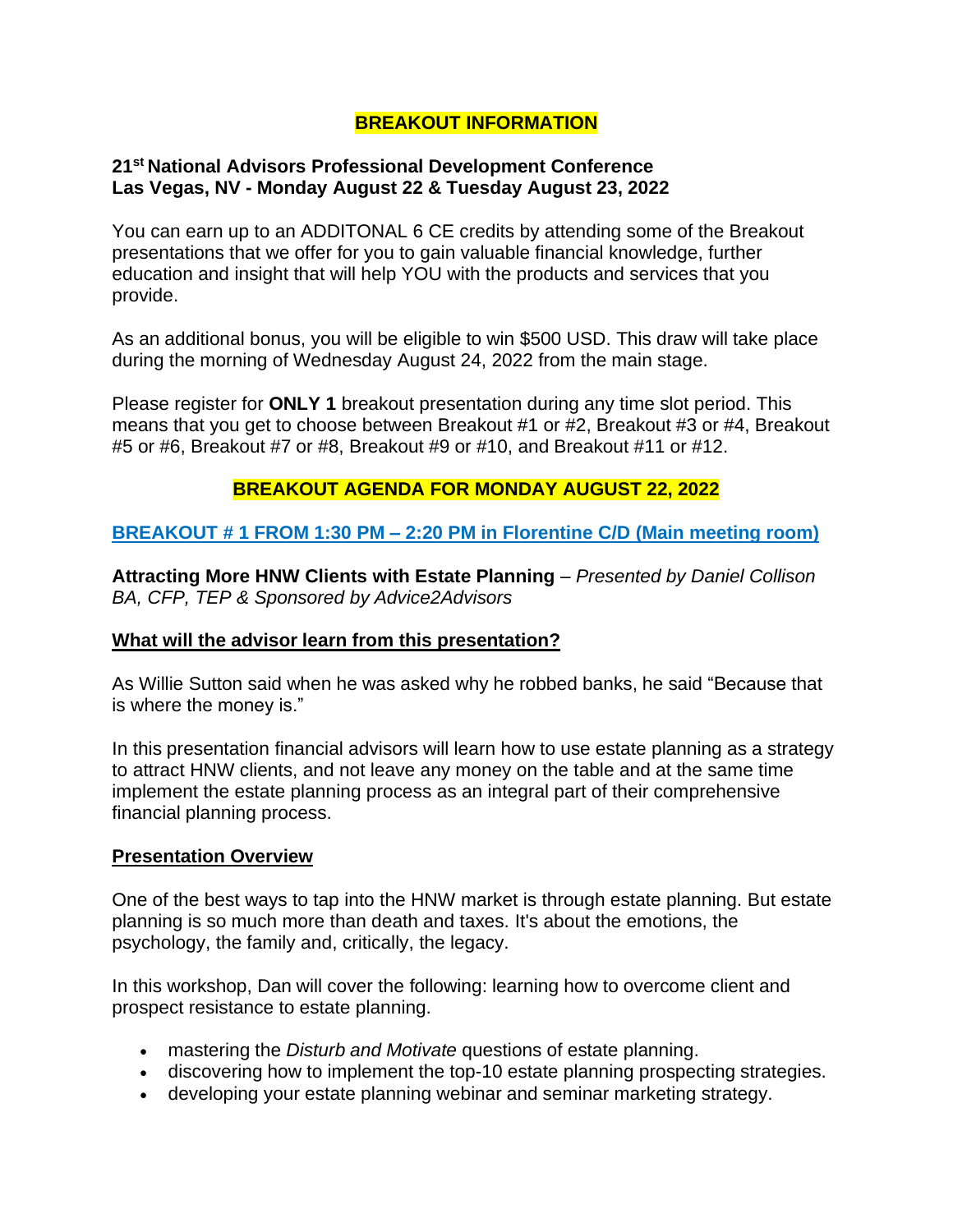## **BREAKOUT INFORMATION**

### **21st National Advisors Professional Development Conference Las Vegas, NV - Monday August 22 & Tuesday August 23, 2022**

You can earn up to an ADDITONAL 6 CE credits by attending some of the Breakout presentations that we offer for you to gain valuable financial knowledge, further education and insight that will help YOU with the products and services that you provide.

As an additional bonus, you will be eligible to win \$500 USD. This draw will take place during the morning of Wednesday August 24, 2022 from the main stage.

Please register for **ONLY 1** breakout presentation during any time slot period. This means that you get to choose between Breakout #1 or #2, Breakout #3 or #4, Breakout #5 or #6, Breakout #7 or #8, Breakout #9 or #10, and Breakout #11 or #12.

## **BREAKOUT AGENDA FOR MONDAY AUGUST 22, 2022**

## **BREAKOUT # 1 FROM 1:30 PM – 2:20 PM in Florentine C/D (Main meeting room)**

**Attracting More HNW Clients with Estate Planning** – *Presented by Daniel Collison BA, CFP, TEP & Sponsored by Advice2Advisors*

### **What will the advisor learn from this presentation?**

As Willie Sutton said when he was asked why he robbed banks, he said "Because that is where the money is."

In this presentation financial advisors will learn how to use estate planning as a strategy to attract HNW clients, and not leave any money on the table and at the same time implement the estate planning process as an integral part of their comprehensive financial planning process.

#### **Presentation Overview**

One of the best ways to tap into the HNW market is through estate planning. But estate planning is so much more than death and taxes. It's about the emotions, the psychology, the family and, critically, the legacy.

In this workshop, Dan will cover the following: learning how to overcome client and prospect resistance to estate planning.

- mastering the *Disturb and Motivate* questions of estate planning.
- discovering how to implement the top-10 estate planning prospecting strategies.
- developing your estate planning webinar and seminar marketing strategy.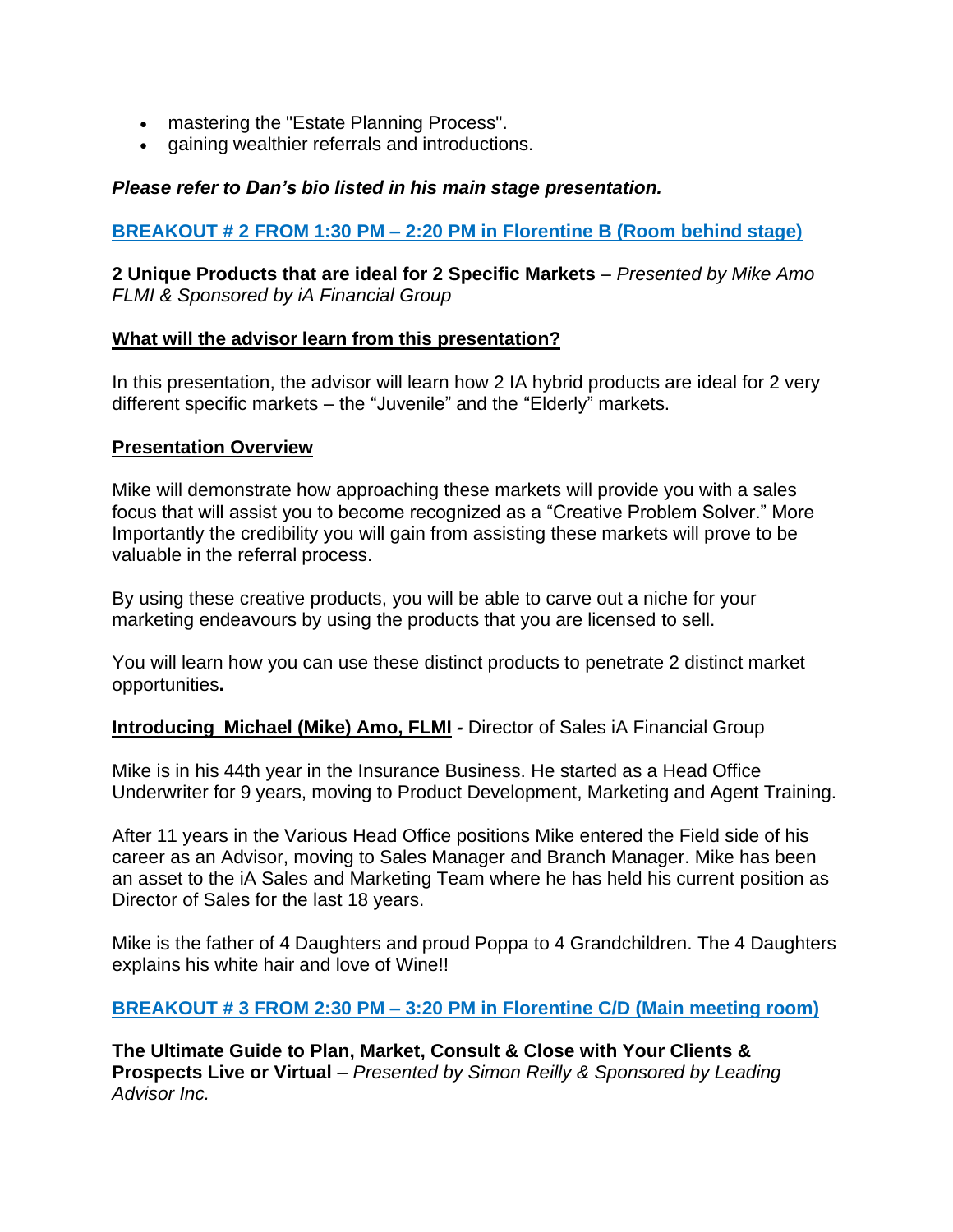- mastering the "Estate Planning Process".
- gaining wealthier referrals and introductions.

#### *Please refer to Dan's bio listed in his main stage presentation.*

#### **BREAKOUT # 2 FROM 1:30 PM – 2:20 PM in Florentine B (Room behind stage)**

**2 Unique Products that are ideal for 2 Specific Markets** *– Presented by Mike Amo FLMI & Sponsored by iA Financial Group*

#### **What will the advisor learn from this presentation?**

In this presentation, the advisor will learn how 2 IA hybrid products are ideal for 2 very different specific markets – the "Juvenile" and the "Elderly" markets.

#### **Presentation Overview**

Mike will demonstrate how approaching these markets will provide you with a sales focus that will assist you to become recognized as a "Creative Problem Solver." More Importantly the credibility you will gain from assisting these markets will prove to be valuable in the referral process.

By using these creative products, you will be able to carve out a niche for your marketing endeavours by using the products that you are licensed to sell.

You will learn how you can use these distinct products to penetrate 2 distinct market opportunities**.**

#### **Introducing Michael (Mike) Amo, FLMI** *-* Director of Sales iA Financial Group

Mike is in his 44th year in the Insurance Business. He started as a Head Office Underwriter for 9 years, moving to Product Development, Marketing and Agent Training.

After 11 years in the Various Head Office positions Mike entered the Field side of his career as an Advisor, moving to Sales Manager and Branch Manager. Mike has been an asset to the iA Sales and Marketing Team where he has held his current position as Director of Sales for the last 18 years.

Mike is the father of 4 Daughters and proud Poppa to 4 Grandchildren. The 4 Daughters explains his white hair and love of Wine!!

### **BREAKOUT # 3 FROM 2:30 PM – 3:20 PM in Florentine C/D (Main meeting room)**

**The Ultimate Guide to Plan, Market, Consult & Close with Your Clients & Prospects Live or Virtual** – *Presented by Simon Reilly & Sponsored by Leading Advisor Inc.*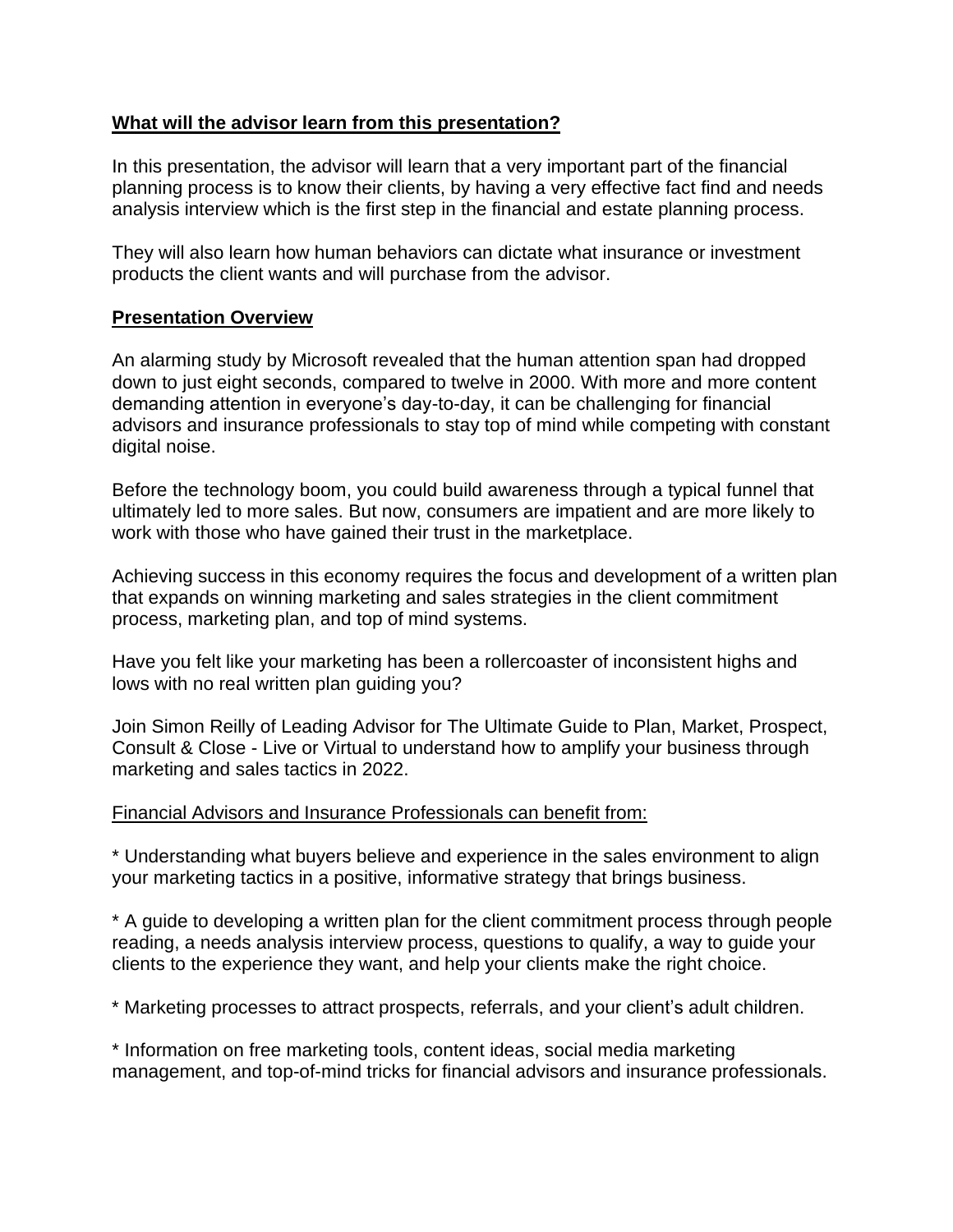### **What will the advisor learn from this presentation?**

In this presentation, the advisor will learn that a very important part of the financial planning process is to know their clients, by having a very effective fact find and needs analysis interview which is the first step in the financial and estate planning process.

They will also learn how human behaviors can dictate what insurance or investment products the client wants and will purchase from the advisor.

## **Presentation Overview**

An alarming study by Microsoft revealed that the human attention span had dropped down to just eight seconds, compared to twelve in 2000. With more and more content demanding attention in everyone's day-to-day, it can be challenging for financial advisors and insurance professionals to stay top of mind while competing with constant digital noise.

Before the technology boom, you could build awareness through a typical funnel that ultimately led to more sales. But now, consumers are impatient and are more likely to work with those who have gained their trust in the marketplace.

Achieving success in this economy requires the focus and development of a written plan that expands on winning marketing and sales strategies in the client commitment process, marketing plan, and top of mind systems.

Have you felt like your marketing has been a rollercoaster of inconsistent highs and lows with no real written plan guiding you?

Join Simon Reilly of Leading Advisor for The Ultimate Guide to Plan, Market, Prospect, Consult & Close - Live or Virtual to understand how to amplify your business through marketing and sales tactics in 2022.

### Financial Advisors and Insurance Professionals can benefit from:

\* Understanding what buyers believe and experience in the sales environment to align your marketing tactics in a positive, informative strategy that brings business.

\* A guide to developing a written plan for the client commitment process through people reading, a needs analysis interview process, questions to qualify, a way to guide your clients to the experience they want, and help your clients make the right choice.

\* Marketing processes to attract prospects, referrals, and your client's adult children.

\* Information on free marketing tools, content ideas, social media marketing management, and top-of-mind tricks for financial advisors and insurance professionals.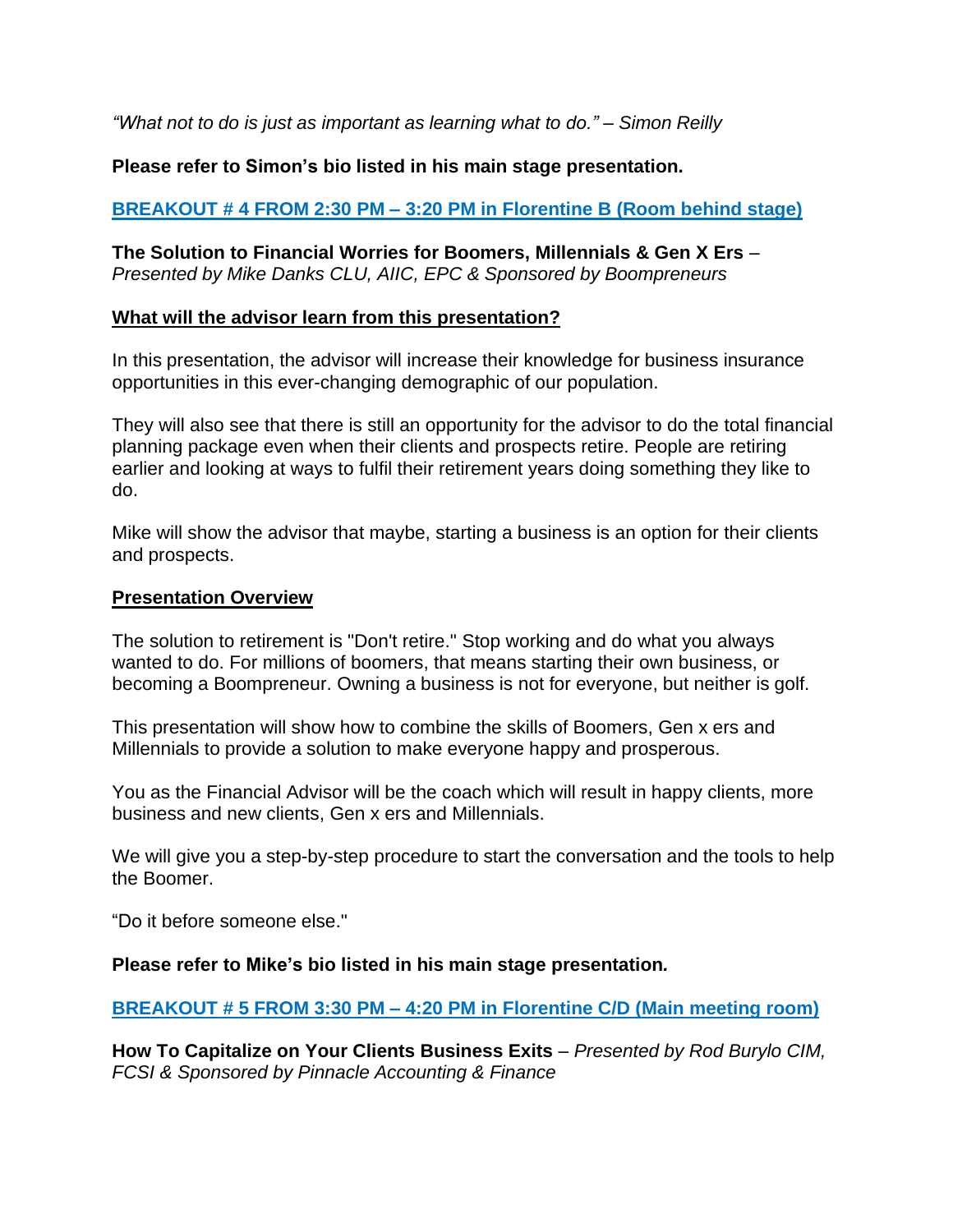*"What not to do is just as important as learning what to do." – Simon Reilly*

## **Please refer to Simon's bio listed in his main stage presentation.**

## **BREAKOUT # 4 FROM 2:30 PM – 3:20 PM in Florentine B (Room behind stage)**

**The Solution to Financial Worries for Boomers, Millennials & Gen X Ers** *– Presented by Mike Danks CLU, AIIC, EPC & Sponsored by Boompreneurs*

#### **What will the advisor learn from this presentation?**

In this presentation, the advisor will increase their knowledge for business insurance opportunities in this ever-changing demographic of our population.

They will also see that there is still an opportunity for the advisor to do the total financial planning package even when their clients and prospects retire. People are retiring earlier and looking at ways to fulfil their retirement years doing something they like to do.

Mike will show the advisor that maybe, starting a business is an option for their clients and prospects.

#### **Presentation Overview**

The solution to retirement is "Don't retire." Stop working and do what you always wanted to do. For millions of boomers, that means starting their own business, or becoming a Boompreneur. Owning a business is not for everyone, but neither is golf.

This presentation will show how to combine the skills of Boomers, Gen x ers and Millennials to provide a solution to make everyone happy and prosperous.

You as the Financial Advisor will be the coach which will result in happy clients, more business and new clients, Gen x ers and Millennials.

We will give you a step-by-step procedure to start the conversation and the tools to help the Boomer.

"Do it before someone else."

### **Please refer to Mike's bio listed in his main stage presentation***.*

### **BREAKOUT # 5 FROM 3:30 PM – 4:20 PM in Florentine C/D (Main meeting room)**

**How To Capitalize on Your Clients Business Exits** *– Presented by Rod Burylo CIM, FCSI & Sponsored by Pinnacle Accounting & Finance*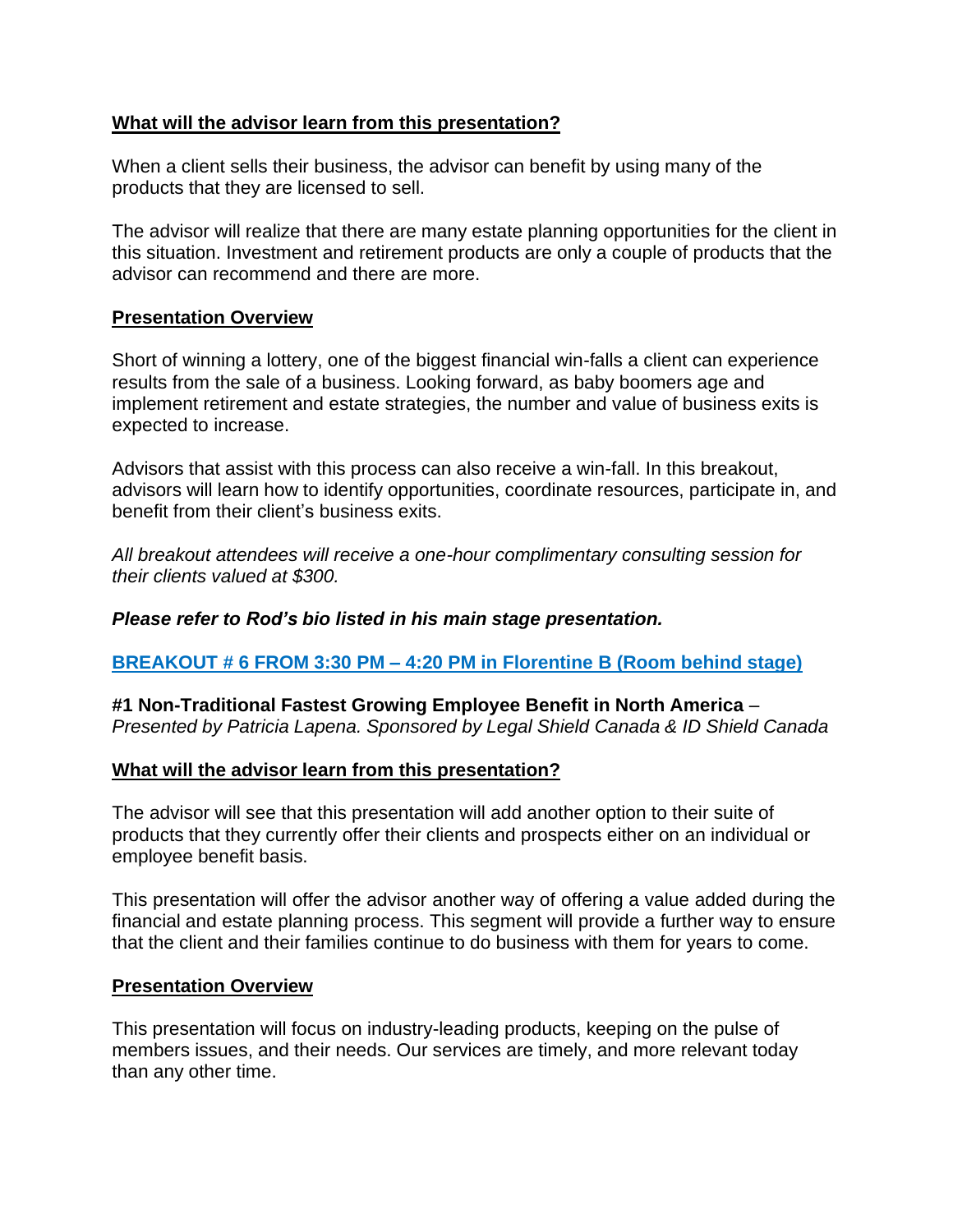### **What will the advisor learn from this presentation?**

When a client sells their business, the advisor can benefit by using many of the products that they are licensed to sell.

The advisor will realize that there are many estate planning opportunities for the client in this situation. Investment and retirement products are only a couple of products that the advisor can recommend and there are more.

### **Presentation Overview**

Short of winning a lottery, one of the biggest financial win-falls a client can experience results from the sale of a business. Looking forward, as baby boomers age and implement retirement and estate strategies, the number and value of business exits is expected to increase.

Advisors that assist with this process can also receive a win-fall. In this breakout, advisors will learn how to identify opportunities, coordinate resources, participate in, and benefit from their client's business exits.

*All breakout attendees will receive a one-hour complimentary consulting session for their clients valued at \$300.*

### *Please refer to Rod's bio listed in his main stage presentation.*

### **BREAKOUT # 6 FROM 3:30 PM – 4:20 PM in Florentine B (Room behind stage)**

**#1 Non-Traditional Fastest Growing Employee Benefit in North America** – *Presented by Patricia Lapena. Sponsored by Legal Shield Canada & ID Shield Canada*

#### **What will the advisor learn from this presentation?**

The advisor will see that this presentation will add another option to their suite of products that they currently offer their clients and prospects either on an individual or employee benefit basis.

This presentation will offer the advisor another way of offering a value added during the financial and estate planning process. This segment will provide a further way to ensure that the client and their families continue to do business with them for years to come.

#### **Presentation Overview**

This presentation will focus on industry-leading products, keeping on the pulse of members issues, and their needs. Our services are timely, and more relevant today than any other time.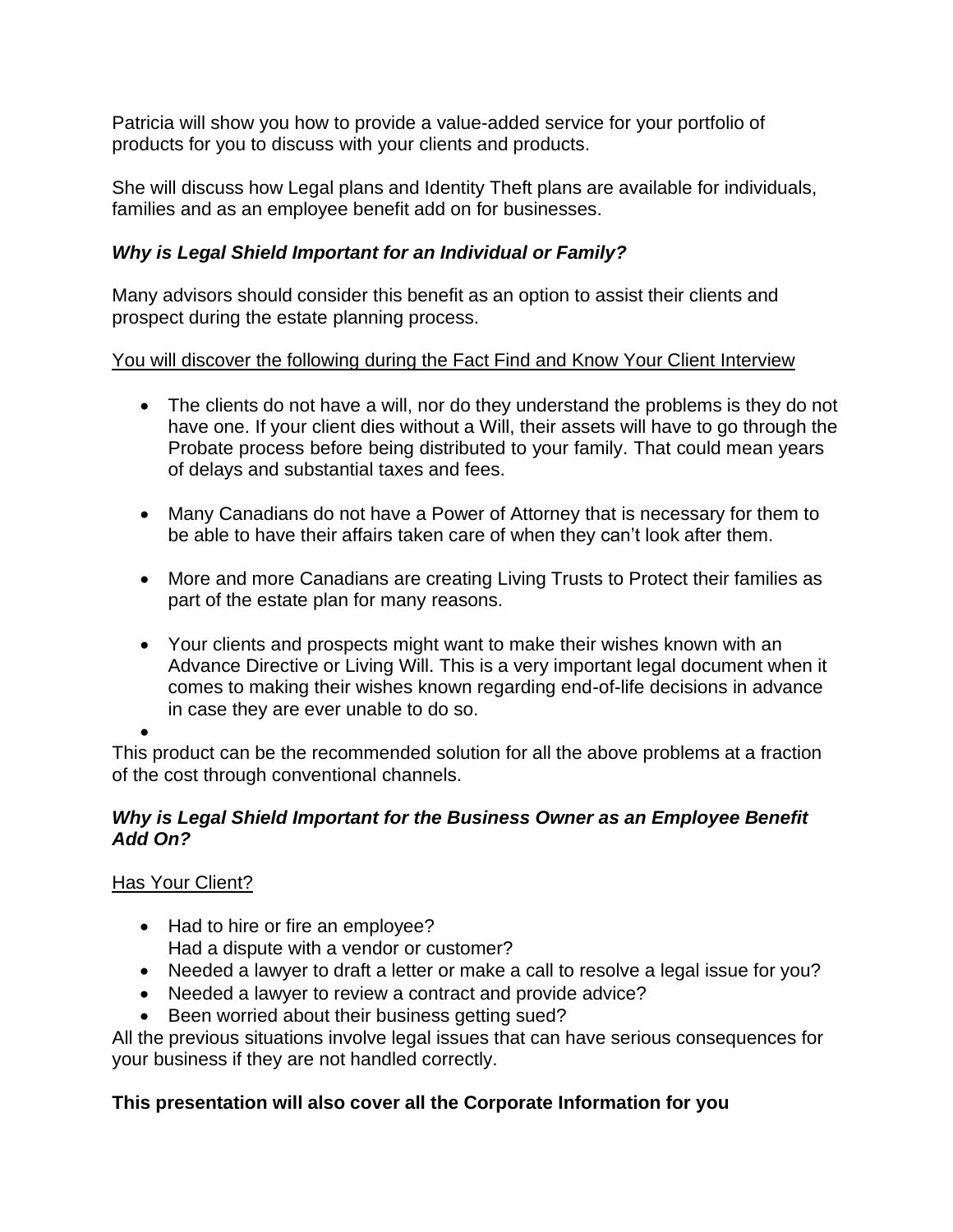Patricia will show you how to provide a value-added service for your portfolio of products for you to discuss with your clients and products.

She will discuss how Legal plans and Identity Theft plans are available for individuals, families and as an employee benefit add on for businesses.

# *Why is Legal Shield Important for an Individual or Family?*

Many advisors should consider this benefit as an option to assist their clients and prospect during the estate planning process.

# You will discover the following during the Fact Find and Know Your Client Interview

- The clients do not have a will, nor do they understand the problems is they do not have one. If your client dies without a Will, their assets will have to go through the Probate process before being distributed to your family. That could mean years of delays and substantial taxes and fees.
- Many Canadians do not have a Power of Attorney that is necessary for them to be able to have their affairs taken care of when they can't look after them.
- More and more Canadians are creating Living Trusts to Protect their families as part of the estate plan for many reasons.
- Your clients and prospects might want to make their wishes known with an Advance Directive or Living Will. This is a very important legal document when it comes to making their wishes known regarding end-of-life decisions in advance in case they are ever unable to do so.

• This product can be the recommended solution for all the above problems at a fraction of the cost through conventional channels.

## *Why is Legal Shield Important for the Business Owner as an Employee Benefit Add On?*

# Has Your Client?

- Had to hire or fire an employee? Had a dispute with a vendor or customer?
- Needed a lawyer to draft a letter or make a call to resolve a legal issue for you?
- Needed a lawyer to review a contract and provide advice?
- Been worried about their business getting sued?

All the previous situations involve legal issues that can have serious consequences for your business if they are not handled correctly.

# **This presentation will also cover all the Corporate Information for you**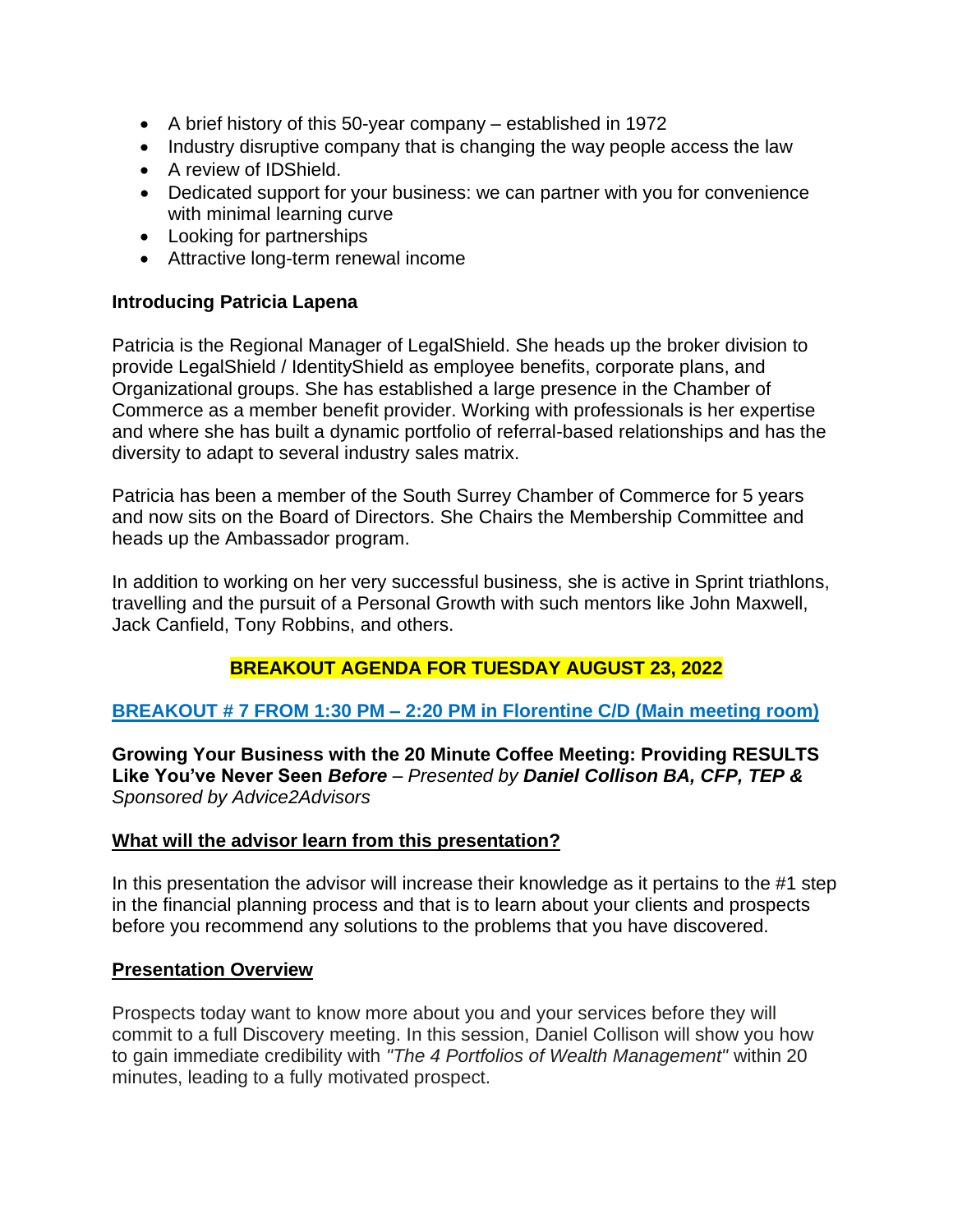- A brief history of this 50-year company established in 1972
- Industry disruptive company that is changing the way people access the law
- A review of IDShield.
- Dedicated support for your business: we can partner with you for convenience with minimal learning curve
- Looking for partnerships
- Attractive long-term renewal income

### **Introducing Patricia Lapena**

Patricia is the Regional Manager of LegalShield. She heads up the broker division to provide LegalShield / IdentityShield as employee benefits, corporate plans, and Organizational groups. She has established a large presence in the Chamber of Commerce as a member benefit provider. Working with professionals is her expertise and where she has built a dynamic portfolio of referral-based relationships and has the diversity to adapt to several industry sales matrix.

Patricia has been a member of the South Surrey Chamber of Commerce for 5 years and now sits on the Board of Directors. She Chairs the Membership Committee and heads up the Ambassador program.

In addition to working on her very successful business, she is active in Sprint triathlons, travelling and the pursuit of a Personal Growth with such mentors like John Maxwell, Jack Canfield, Tony Robbins, and others.

# **BREAKOUT AGENDA FOR TUESDAY AUGUST 23, 2022**

### **BREAKOUT # 7 FROM 1:30 PM – 2:20 PM in Florentine C/D (Main meeting room)**

**Growing Your Business with the 20 Minute Coffee Meeting: Providing RESULTS Like You've Never Seen** *Before – Presented by Daniel Collison BA, CFP, TEP & Sponsored by Advice2Advisors*

### **What will the advisor learn from this presentation?**

In this presentation the advisor will increase their knowledge as it pertains to the #1 step in the financial planning process and that is to learn about your clients and prospects before you recommend any solutions to the problems that you have discovered.

### **Presentation Overview**

Prospects today want to know more about you and your services before they will commit to a full Discovery meeting. In this session, Daniel Collison will show you how to gain immediate credibility with *"The 4 Portfolios of Wealth Management"* within 20 minutes, leading to a fully motivated prospect.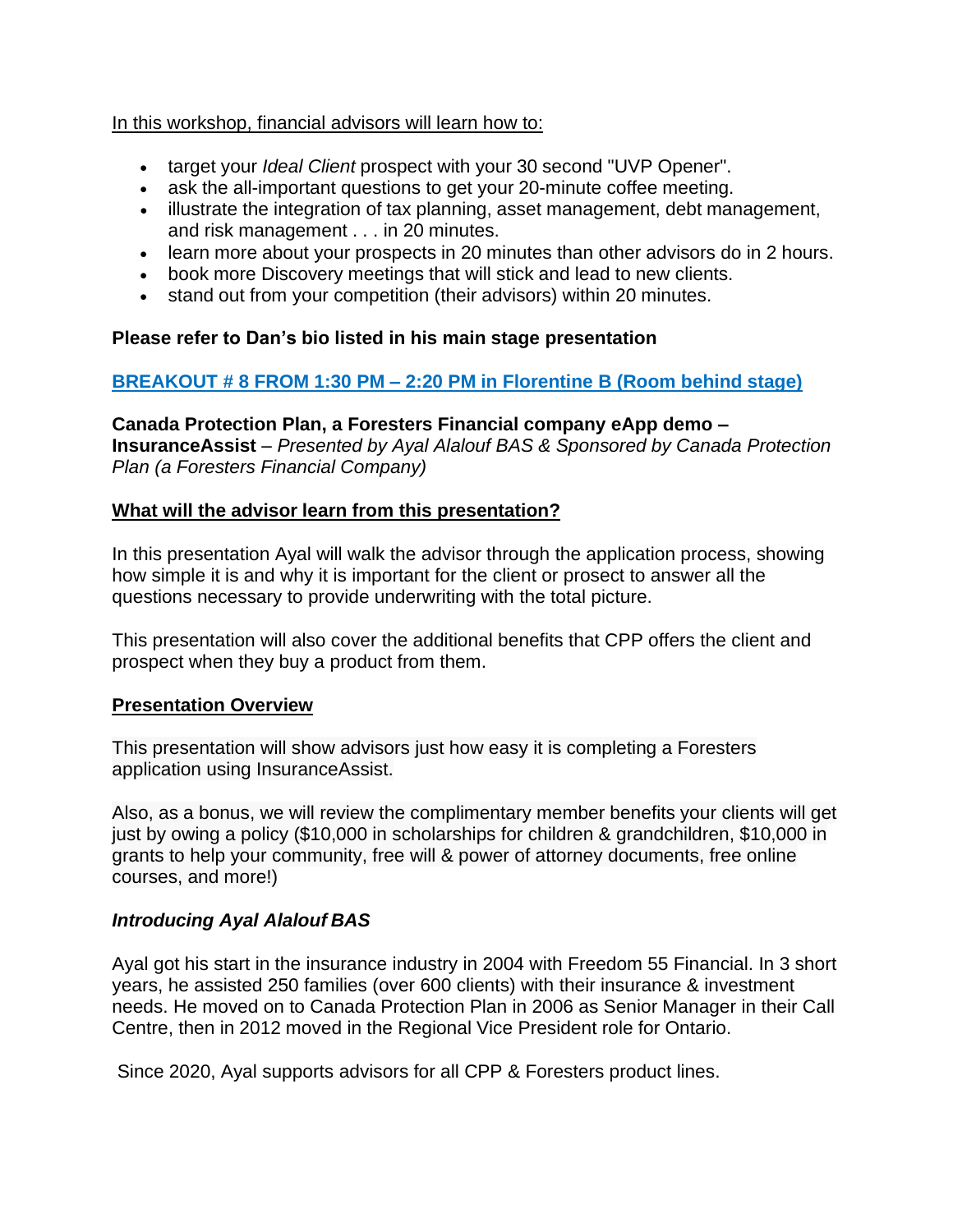### In this workshop, financial advisors will learn how to:

- target your *Ideal Client* prospect with your 30 second "UVP Opener".
- ask the all-important questions to get your 20-minute coffee meeting.
- illustrate the integration of tax planning, asset management, debt management, and risk management . . . in 20 minutes.
- learn more about your prospects in 20 minutes than other advisors do in 2 hours.
- book more Discovery meetings that will stick and lead to new clients.
- stand out from your competition (their advisors) within 20 minutes.

# **Please refer to Dan's bio listed in his main stage presentation**

# **BREAKOUT # 8 FROM 1:30 PM – 2:20 PM in Florentine B (Room behind stage)**

**Canada Protection Plan, a Foresters Financial company eApp demo – InsuranceAssist** *– Presented by Ayal Alalouf BAS & Sponsored by Canada Protection Plan (a Foresters Financial Company)*

## **What will the advisor learn from this presentation?**

In this presentation Ayal will walk the advisor through the application process, showing how simple it is and why it is important for the client or prosect to answer all the questions necessary to provide underwriting with the total picture.

This presentation will also cover the additional benefits that CPP offers the client and prospect when they buy a product from them.

# **Presentation Overview**

This presentation will show advisors just how easy it is completing a Foresters application using InsuranceAssist.

Also, as a bonus, we will review the complimentary member benefits your clients will get just by owing a policy (\$10,000 in scholarships for children & grandchildren, \$10,000 in grants to help your community, free will & power of attorney documents, free online courses, and more!)

# *Introducing Ayal Alalouf BAS*

Ayal got his start in the insurance industry in 2004 with Freedom 55 Financial. In 3 short years, he assisted 250 families (over 600 clients) with their insurance & investment needs. He moved on to Canada Protection Plan in 2006 as Senior Manager in their Call Centre, then in 2012 moved in the Regional Vice President role for Ontario.

Since 2020, Ayal supports advisors for all CPP & Foresters product lines.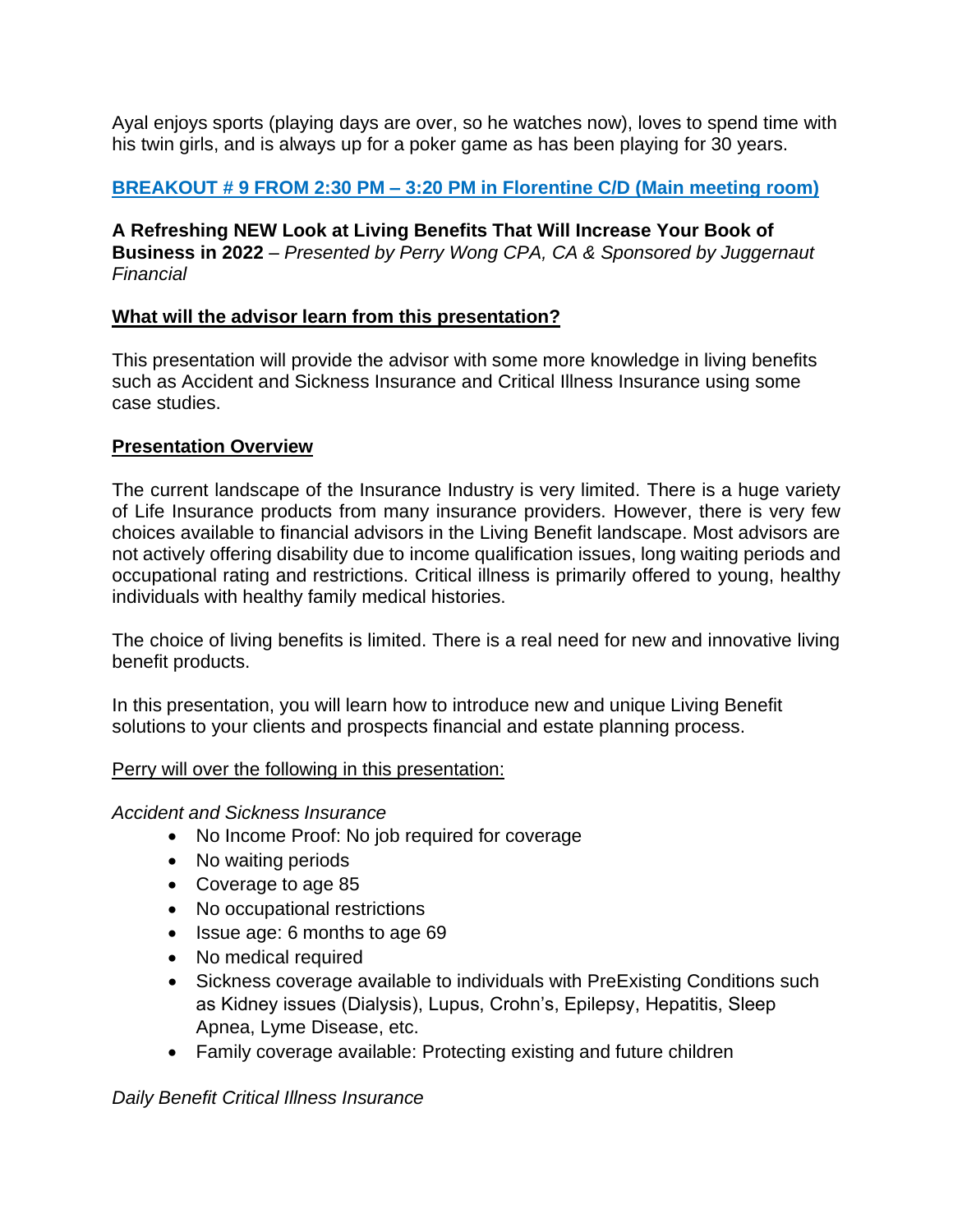Ayal enjoys sports (playing days are over, so he watches now), loves to spend time with his twin girls, and is always up for a poker game as has been playing for 30 years.

# **BREAKOUT # 9 FROM 2:30 PM – 3:20 PM in Florentine C/D (Main meeting room)**

**A Refreshing NEW Look at Living Benefits That Will Increase Your Book of Business in 2022** *– Presented by Perry Wong CPA, CA & Sponsored by Juggernaut Financial*

## **What will the advisor learn from this presentation?**

This presentation will provide the advisor with some more knowledge in living benefits such as Accident and Sickness Insurance and Critical Illness Insurance using some case studies.

## **Presentation Overview**

The current landscape of the Insurance Industry is very limited. There is a huge variety of Life Insurance products from many insurance providers. However, there is very few choices available to financial advisors in the Living Benefit landscape. Most advisors are not actively offering disability due to income qualification issues, long waiting periods and occupational rating and restrictions. Critical illness is primarily offered to young, healthy individuals with healthy family medical histories.

The choice of living benefits is limited. There is a real need for new and innovative living benefit products.

In this presentation, you will learn how to introduce new and unique Living Benefit solutions to your clients and prospects financial and estate planning process.

# Perry will over the following in this presentation:

### *Accident and Sickness Insurance*

- No Income Proof: No job required for coverage
- No waiting periods
- Coverage to age 85
- No occupational restrictions
- Issue age: 6 months to age 69
- No medical required
- Sickness coverage available to individuals with PreExisting Conditions such as Kidney issues (Dialysis), Lupus, Crohn's, Epilepsy, Hepatitis, Sleep Apnea, Lyme Disease, etc.
- Family coverage available: Protecting existing and future children

*Daily Benefit Critical Illness Insurance*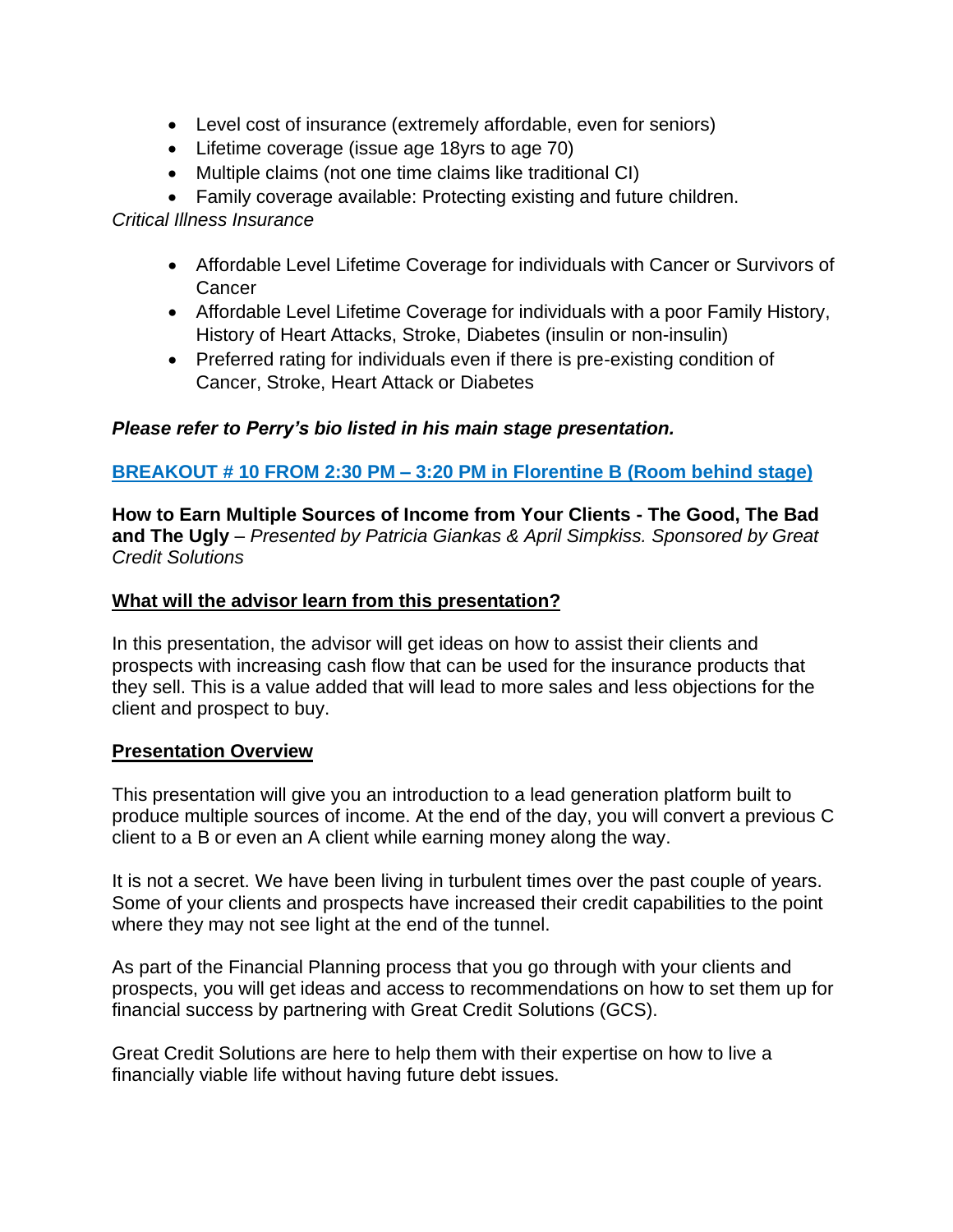- Level cost of insurance (extremely affordable, even for seniors)
- Lifetime coverage (issue age 18yrs to age 70)
- Multiple claims (not one time claims like traditional CI)
- Family coverage available: Protecting existing and future children.

*Critical Illness Insurance*

- Affordable Level Lifetime Coverage for individuals with Cancer or Survivors of **Cancer**
- Affordable Level Lifetime Coverage for individuals with a poor Family History, History of Heart Attacks, Stroke, Diabetes (insulin or non-insulin)
- Preferred rating for individuals even if there is pre-existing condition of Cancer, Stroke, Heart Attack or Diabetes

# *Please refer to Perry's bio listed in his main stage presentation.*

# **BREAKOUT # 10 FROM 2:30 PM – 3:20 PM in Florentine B (Room behind stage)**

**How to Earn Multiple Sources of Income from Your Clients - The Good, The Bad and The Ugly** *– Presented by Patricia Giankas & April Simpkiss. Sponsored by Great Credit Solutions*

### **What will the advisor learn from this presentation?**

In this presentation, the advisor will get ideas on how to assist their clients and prospects with increasing cash flow that can be used for the insurance products that they sell. This is a value added that will lead to more sales and less objections for the client and prospect to buy.

### **Presentation Overview**

This presentation will give you an introduction to a lead generation platform built to produce multiple sources of income. At the end of the day, you will convert a previous C client to a B or even an A client while earning money along the way.

It is not a secret. We have been living in turbulent times over the past couple of years. Some of your clients and prospects have increased their credit capabilities to the point where they may not see light at the end of the tunnel.

As part of the Financial Planning process that you go through with your clients and prospects, you will get ideas and access to recommendations on how to set them up for financial success by partnering with Great Credit Solutions (GCS).

Great Credit Solutions are here to help them with their expertise on how to live a financially viable life without having future debt issues.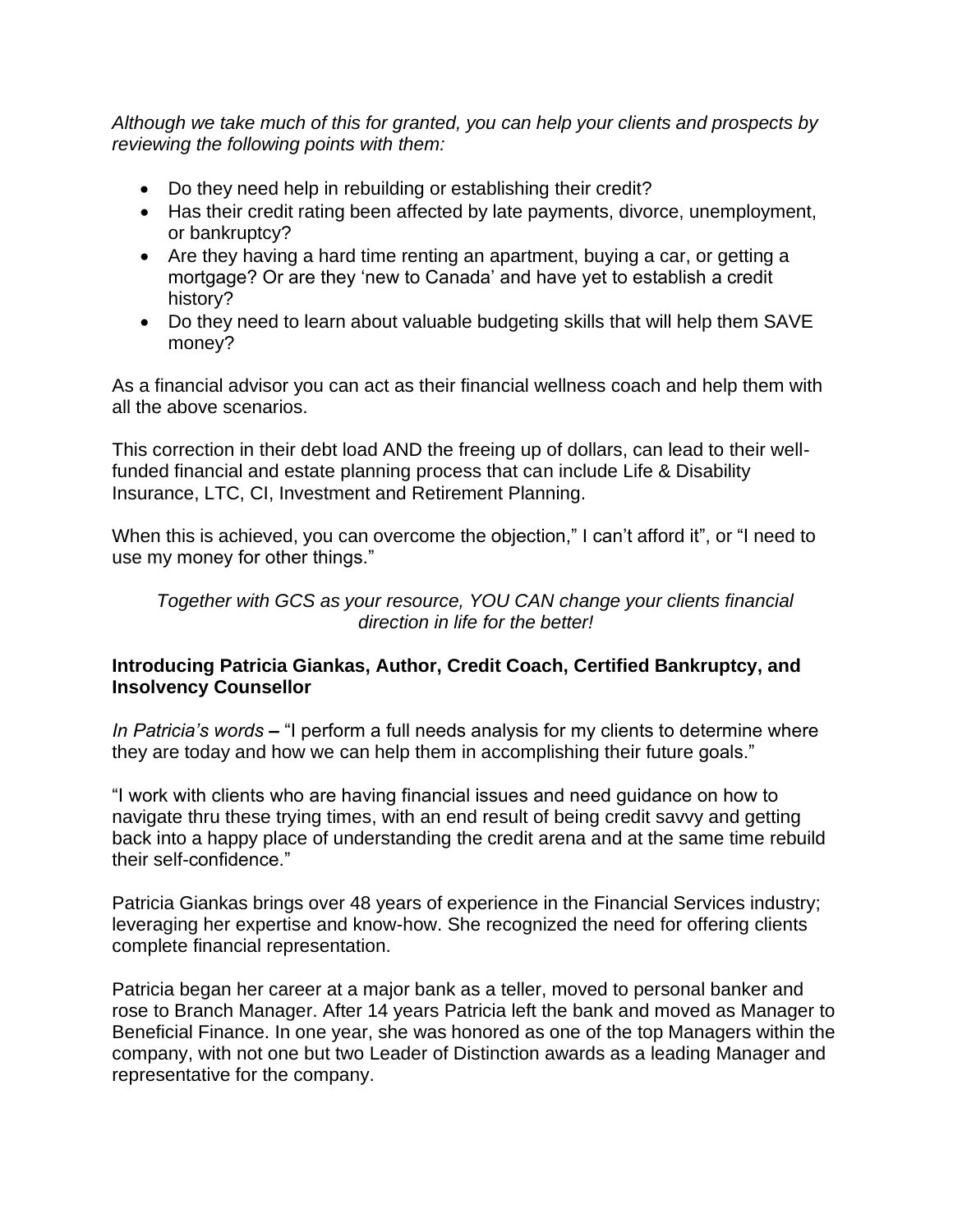*Although we take much of this for granted, you can help your clients and prospects by reviewing the following points with them:*

- Do they need help in rebuilding or establishing their credit?
- Has their credit rating been affected by late payments, divorce, unemployment, or bankruptcy?
- Are they having a hard time renting an apartment, buying a car, or getting a mortgage? Or are they 'new to Canada' and have yet to establish a credit history?
- Do they need to learn about valuable budgeting skills that will help them SAVE money?

As a financial advisor you can act as their financial wellness coach and help them with all the above scenarios.

This correction in their debt load AND the freeing up of dollars, can lead to their wellfunded financial and estate planning process that can include Life & Disability Insurance, LTC, CI, Investment and Retirement Planning.

When this is achieved, you can overcome the objection," I can't afford it", or "I need to use my money for other things."

*Together with GCS as your resource, YOU CAN change your clients financial direction in life for the better!*

## **Introducing Patricia Giankas, Author, Credit Coach, Certified Bankruptcy, and Insolvency Counsellor**

*In Patricia's words* **–** "I perform a full needs analysis for my clients to determine where they are today and how we can help them in accomplishing their future goals."

"I work with clients who are having financial issues and need guidance on how to navigate thru these trying times, with an end result of being credit savvy and getting back into a happy place of understanding the credit arena and at the same time rebuild their self-confidence."

Patricia Giankas brings over 48 years of experience in the Financial Services industry; leveraging her expertise and know-how. She recognized the need for offering clients complete financial representation.

Patricia began her career at a major bank as a teller, moved to personal banker and rose to Branch Manager. After 14 years Patricia left the bank and moved as Manager to Beneficial Finance. In one year, she was honored as one of the top Managers within the company, with not one but two Leader of Distinction awards as a leading Manager and representative for the company.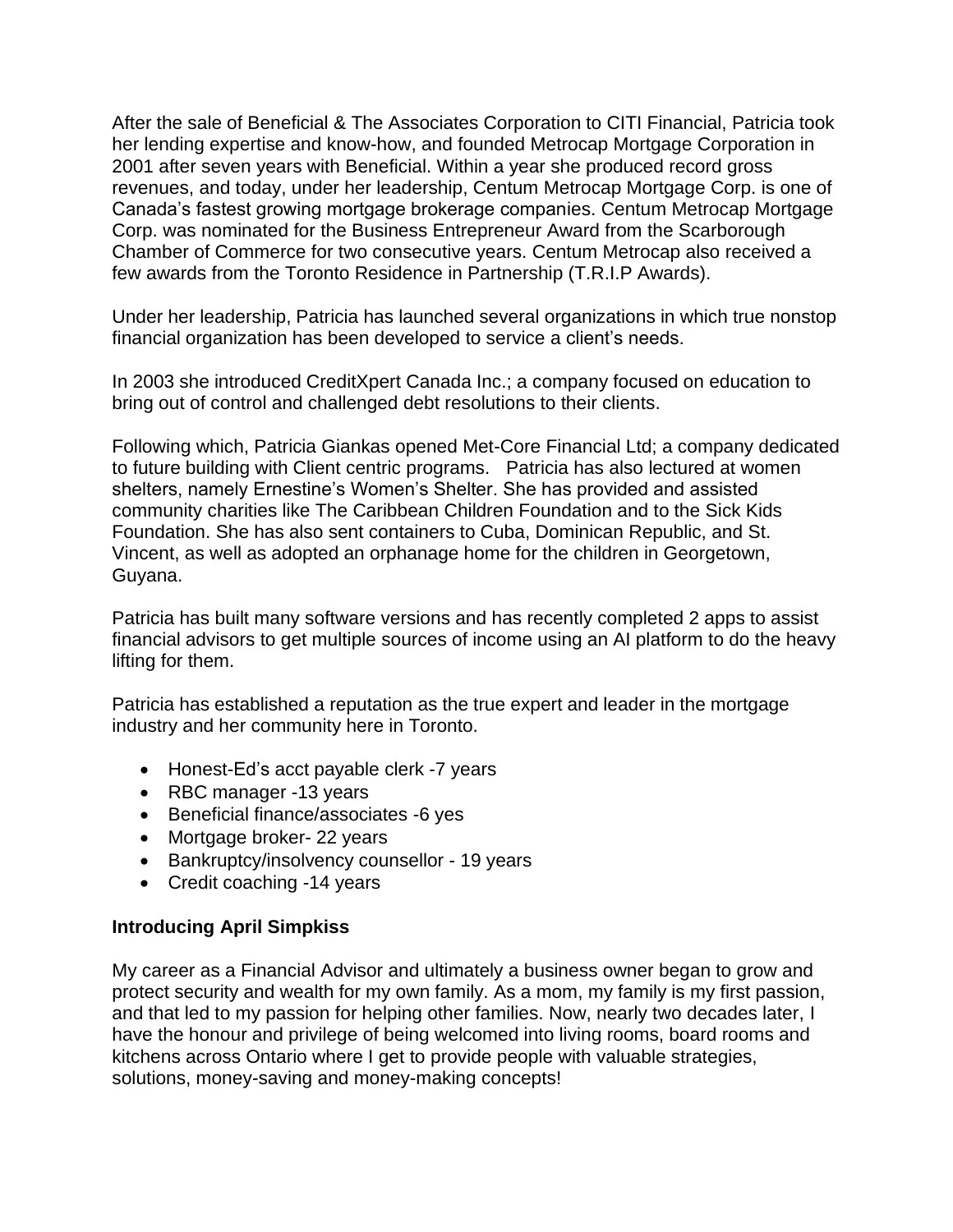After the sale of Beneficial & The Associates Corporation to CITI Financial, Patricia took her lending expertise and know-how, and founded Metrocap Mortgage Corporation in 2001 after seven years with Beneficial. Within a year she produced record gross revenues, and today, under her leadership, Centum Metrocap Mortgage Corp. is one of Canada's fastest growing mortgage brokerage companies. Centum Metrocap Mortgage Corp. was nominated for the Business Entrepreneur Award from the Scarborough Chamber of Commerce for two consecutive years. Centum Metrocap also received a few awards from the Toronto Residence in Partnership (T.R.I.P Awards).

Under her leadership, Patricia has launched several organizations in which true nonstop financial organization has been developed to service a client's needs.

In 2003 she introduced CreditXpert Canada Inc.; a company focused on education to bring out of control and challenged debt resolutions to their clients.

Following which, Patricia Giankas opened Met-Core Financial Ltd; a company dedicated to future building with Client centric programs. Patricia has also lectured at women shelters, namely Ernestine's Women's Shelter. She has provided and assisted community charities like The Caribbean Children Foundation and to the Sick Kids Foundation. She has also sent containers to Cuba, Dominican Republic, and St. Vincent, as well as adopted an orphanage home for the children in Georgetown, Guyana.

Patricia has built many software versions and has recently completed 2 apps to assist financial advisors to get multiple sources of income using an AI platform to do the heavy lifting for them.

Patricia has established a reputation as the true expert and leader in the mortgage industry and her community here in Toronto.

- Honest-Ed's acct payable clerk -7 years
- RBC manager -13 years
- Beneficial finance/associates -6 yes
- Mortgage broker- 22 years
- Bankruptcy/insolvency counsellor 19 years
- Credit coaching -14 years

### **Introducing April Simpkiss**

My career as a Financial Advisor and ultimately a business owner began to grow and protect security and wealth for my own family. As a mom, my family is my first passion, and that led to my passion for helping other families. Now, nearly two decades later, I have the honour and privilege of being welcomed into living rooms, board rooms and kitchens across Ontario where I get to provide people with valuable strategies, solutions, money-saving and money-making concepts!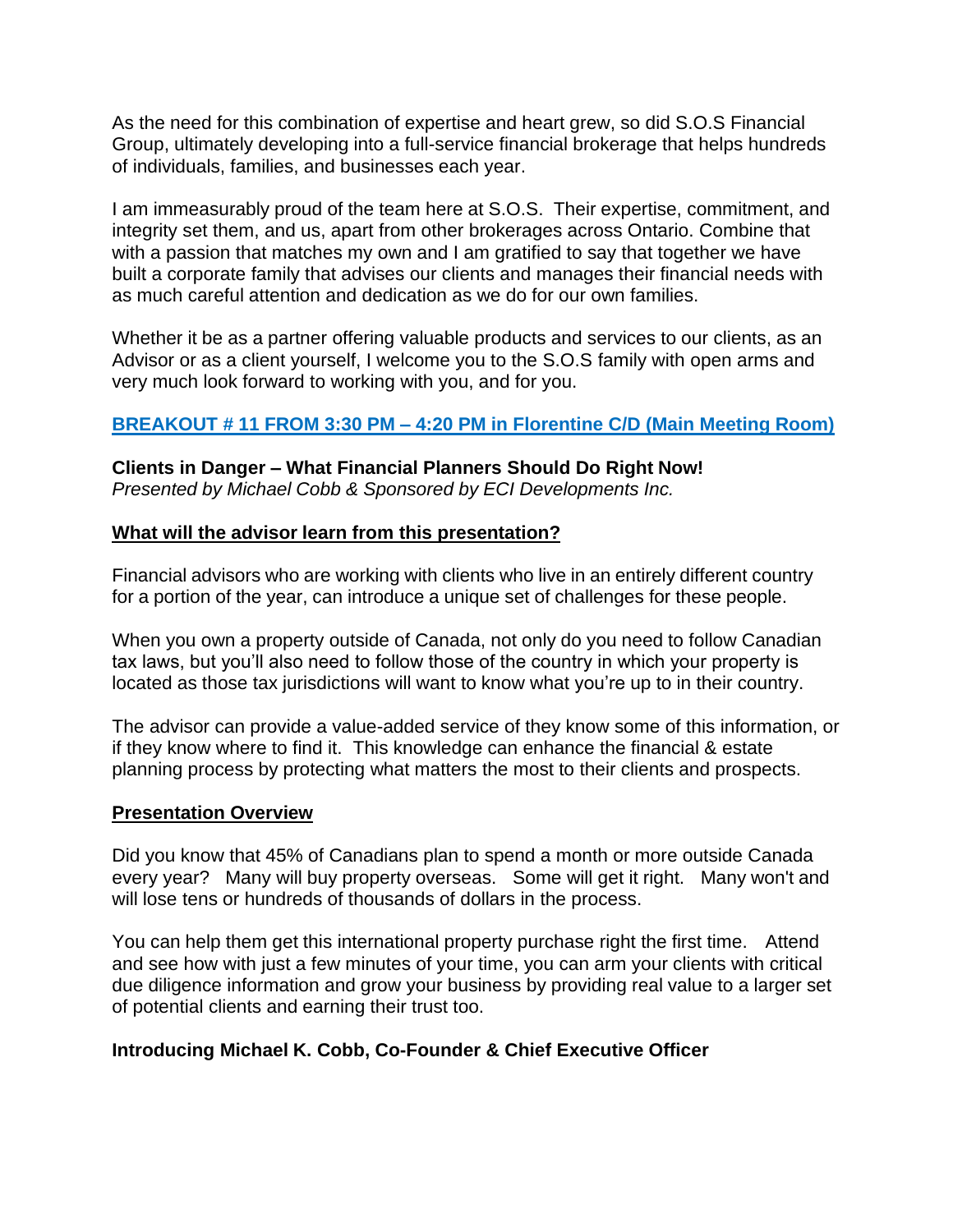As the need for this combination of expertise and heart grew, so did S.O.S Financial Group, ultimately developing into a full-service financial brokerage that helps hundreds of individuals, families, and businesses each year.

I am immeasurably proud of the team here at S.O.S. Their expertise, commitment, and integrity set them, and us, apart from other brokerages across Ontario. Combine that with a passion that matches my own and I am gratified to say that together we have built a corporate family that advises our clients and manages their financial needs with as much careful attention and dedication as we do for our own families.

Whether it be as a partner offering valuable products and services to our clients, as an Advisor or as a client yourself, I welcome you to the S.O.S family with open arms and very much look forward to working with you, and for you.

## **BREAKOUT # 11 FROM 3:30 PM – 4:20 PM in Florentine C/D (Main Meeting Room)**

**Clients in Danger – What Financial Planners Should Do Right Now!** *Presented by Michael Cobb & Sponsored by ECI Developments Inc.*

### **What will the advisor learn from this presentation?**

Financial advisors who are working with clients who live in an entirely different country for a portion of the year, can introduce a unique set of challenges for these people.

When you own a property outside of Canada, not only do you need to follow Canadian tax laws, but you'll also need to follow those of the country in which your property is located as those tax jurisdictions will want to know what you're up to in their country.

The advisor can provide a value-added service of they know some of this information, or if they know where to find it. This knowledge can enhance the financial & estate planning process by protecting what matters the most to their clients and prospects.

### **Presentation Overview**

Did you know that 45% of Canadians plan to spend a month or more outside Canada every year? Many will buy property overseas. Some will get it right. Many won't and will lose tens or hundreds of thousands of dollars in the process.

You can help them get this international property purchase right the first time. Attend and see how with just a few minutes of your time, you can arm your clients with critical due diligence information and grow your business by providing real value to a larger set of potential clients and earning their trust too.

### **Introducing Michael K. Cobb, Co-Founder & Chief Executive Officer**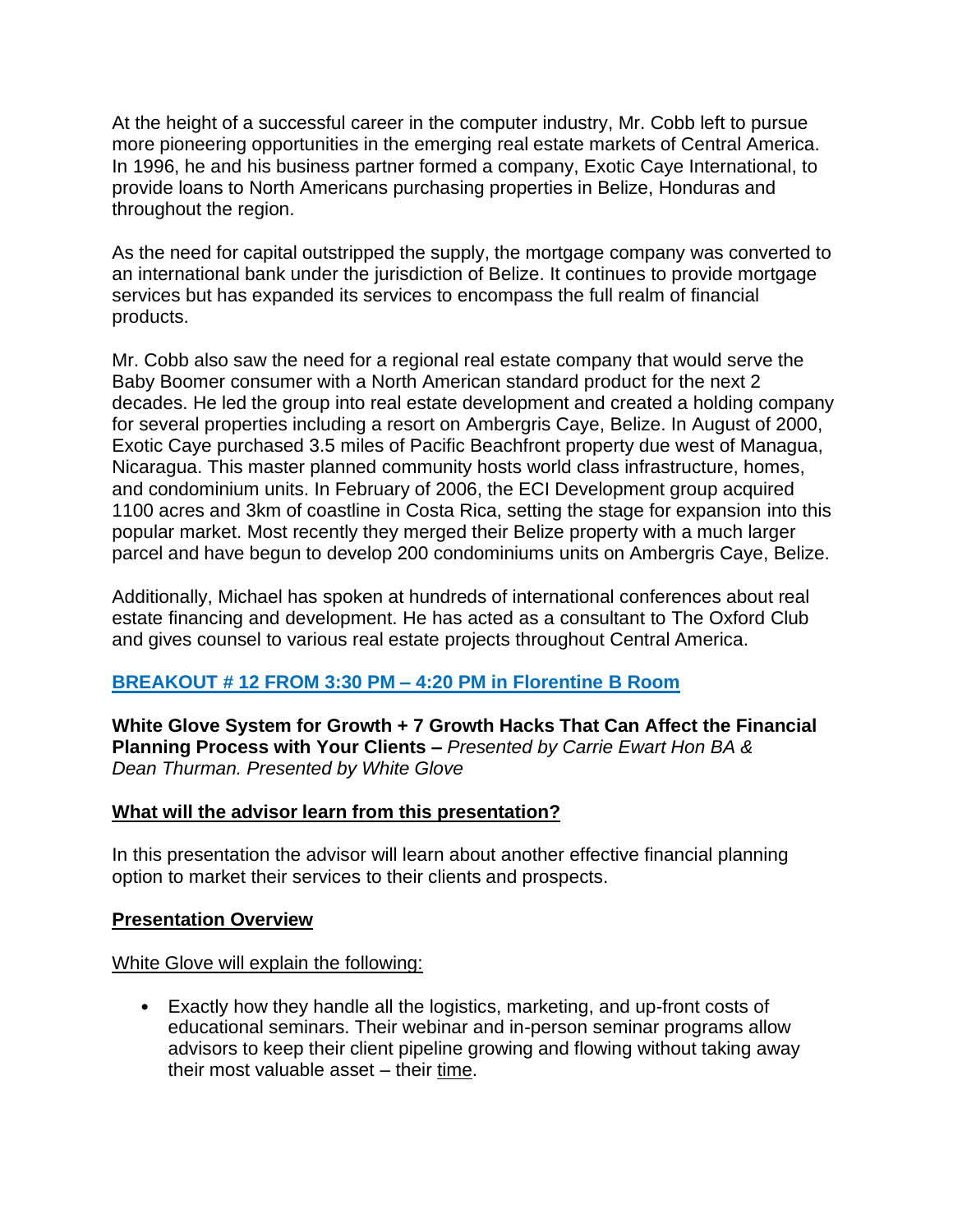At the height of a successful career in the computer industry, Mr. Cobb left to pursue more pioneering opportunities in the emerging real estate markets of Central America. In 1996, he and his business partner formed a company, Exotic Caye International, to provide loans to North Americans purchasing properties in Belize, Honduras and throughout the region.

As the need for capital outstripped the supply, the mortgage company was converted to an international bank under the jurisdiction of Belize. It continues to provide mortgage services but has expanded its services to encompass the full realm of financial products.

Mr. Cobb also saw the need for a regional real estate company that would serve the Baby Boomer consumer with a North American standard product for the next 2 decades. He led the group into real estate development and created a holding company for several properties including a resort on Ambergris Caye, Belize. In August of 2000, Exotic Caye purchased 3.5 miles of Pacific Beachfront property due west of Managua, Nicaragua. This master planned community hosts world class infrastructure, homes, and condominium units. In February of 2006, the ECI Development group acquired 1100 acres and 3km of coastline in Costa Rica, setting the stage for expansion into this popular market. Most recently they merged their Belize property with a much larger parcel and have begun to develop 200 condominiums units on Ambergris Caye, Belize.

Additionally, Michael has spoken at hundreds of international conferences about real estate financing and development. He has acted as a consultant to The Oxford Club and gives counsel to various real estate projects throughout Central America.

# **BREAKOUT # 12 FROM 3:30 PM – 4:20 PM in Florentine B Room**

**White Glove System for Growth + 7 Growth Hacks That Can Affect the Financial Planning Process with Your Clients** *– Presented by Carrie Ewart Hon BA & Dean Thurman. Presented by White Glove*

### **What will the advisor learn from this presentation?**

In this presentation the advisor will learn about another effective financial planning option to market their services to their clients and prospects.

### **Presentation Overview**

### White Glove will explain the following:

• Exactly how they handle all the logistics, marketing, and up-front costs of educational seminars. Their webinar and in-person seminar programs allow advisors to keep their client pipeline growing and flowing without taking away their most valuable asset – their time.